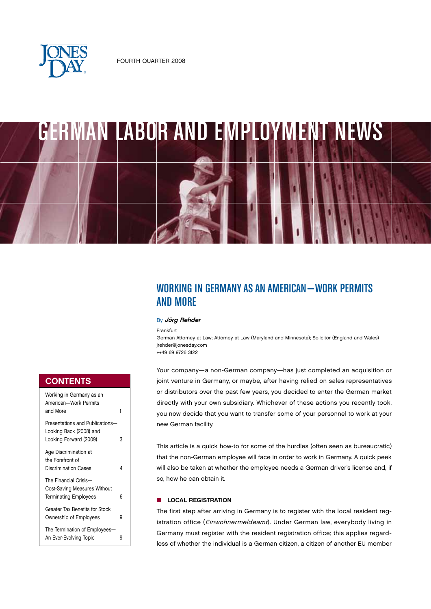



# WORKING IN GERMANY AS AN AMERICAN—Work permits and more

### By Jörg Rehder

Frankfurt

German Attorney at Law; Attorney at Law (Maryland and Minnesota); Solicitor (England and Wales) jrehder@jonesday.com ++49 69 9726 3122

Your company—a non-German company—has just completed an acquisition or joint venture in Germany, or maybe, after having relied on sales representatives or distributors over the past few years, you decided to enter the German market directly with your own subsidiary. Whichever of these actions you recently took, you now decide that you want to transfer some of your personnel to work at your new German facility.

This article is a quick how-to for some of the hurdles (often seen as bureaucratic) that the non-German employee will face in order to work in Germany. A quick peek will also be taken at whether the employee needs a German driver's license and, if so, how he can obtain it.

## **n** LOCAL REGISTRATION

The first step after arriving in Germany is to register with the local resident registration office (Einwohnermeldeamt). Under German law, everybody living in Germany must register with the resident registration office; this applies regardless of whether the individual is a German citizen, a citizen of another EU member

# **CONTENTS**

| Working in Germany as an<br>American-Work Permits<br>and More                         | 1 |
|---------------------------------------------------------------------------------------|---|
| Presentations and Publications-<br>Looking Back (2008) and<br>Looking Forward (2009)  | 3 |
| Age Discrimination at<br>the Forefront of<br><b>Discrimination Cases</b>              | 4 |
| The Financial Crisis-<br>Cost-Saving Measures Without<br><b>Terminating Employees</b> | 6 |
| Greater Tax Benefits for Stock<br>Ownership of Employees                              | 9 |
| The Termination of Employees-<br>An Ever-Evolving Topic                               | 9 |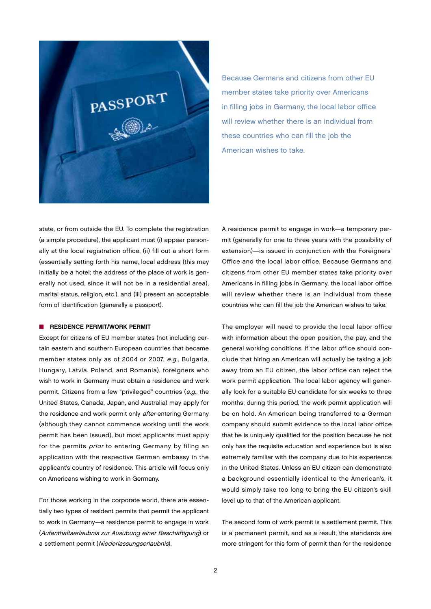

Because Germans and citizens from other EU member states take priority over Americans in filling jobs in Germany, the local labor office will review whether there is an individual from these countries who can fill the job the American wishes to take.

state, or from outside the EU. To complete the registration (a simple procedure), the applicant must (i) appear personally at the local registration office, (ii) fill out a short form (essentially setting forth his name, local address (this may initially be a hotel; the address of the place of work is generally not used, since it will not be in a residential area), marital status, religion, etc.), and (iii) present an acceptable form of identification (generally a passport).

#### **N** RESIDENCE PERMIT/WORK PERMIT

Except for citizens of EU member states (not including certain eastern and southern European countries that became member states only as of 2004 or 2007, e.g., Bulgaria, Hungary, Latvia, Poland, and Romania), foreigners who wish to work in Germany must obtain a residence and work permit. Citizens from a few "privileged" countries (e.g., the United States, Canada, Japan, and Australia) may apply for the residence and work permit only after entering Germany (although they cannot commence working until the work permit has been issued), but most applicants must apply for the permits *prior* to entering Germany by filing an application with the respective German embassy in the applicant's country of residence. This article will focus only on Americans wishing to work in Germany.

For those working in the corporate world, there are essentially two types of resident permits that permit the applicant to work in Germany—a residence permit to engage in work (Aufenthaltserlaubnis zur Ausübung einer Beschäftigung) or a settlement permit (Niederlassungserlaubnis).

A residence permit to engage in work—a temporary permit (generally for one to three years with the possibility of extension)—is issued in conjunction with the Foreigners' Office and the local labor office. Because Germans and citizens from other EU member states take priority over Americans in filling jobs in Germany, the local labor office will review whether there is an individual from these countries who can fill the job the American wishes to take.

The employer will need to provide the local labor office with information about the open position, the pay, and the general working conditions. If the labor office should conclude that hiring an American will actually be taking a job away from an EU citizen, the labor office can reject the work permit application. The local labor agency will generally look for a suitable EU candidate for six weeks to three months; during this period, the work permit application will be on hold. An American being transferred to a German company should submit evidence to the local labor office that he is uniquely qualified for the position because he not only has the requisite education and experience but is also extremely familiar with the company due to his experience in the United States. Unless an EU citizen can demonstrate a background essentially identical to the American's, it would simply take too long to bring the EU citizen's skill level up to that of the American applicant.

The second form of work permit is a settlement permit. This is a permanent permit, and as a result, the standards are more stringent for this form of permit than for the residence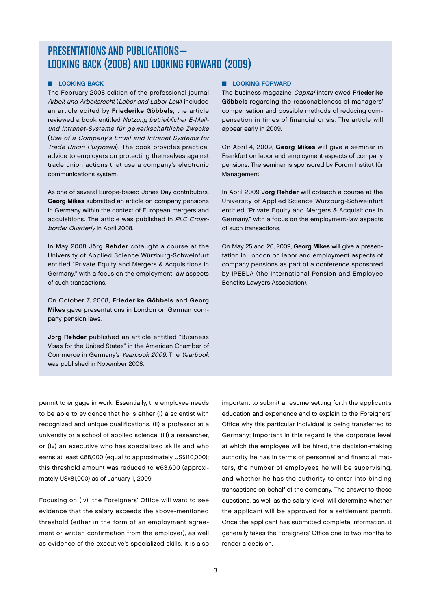# PRESENTATIONS AND PUBLICATIONS— LOOKING BACK (2008) AND LOOKING FORWARD (2009)

## **N** LOOKING BACK

The February 2008 edition of the professional journal Arbeit und Arbeitsrecht (Labor and Labor Law) included an article edited by Friederike Göbbels; the article reviewed a book entitled Nutzung betrieblicher E-Mailund Intranet-Systeme für gewerkschaftliche Zwecke (Use of a Company's Email and Intranet Systems for Trade Union Purposes). The book provides practical advice to employers on protecting themselves against trade union actions that use a company's electronic communications system.

As one of several Europe-based Jones Day contributors, Georg Mikes submitted an article on company pensions in Germany within the context of European mergers and acquisitions. The article was published in PLC Crossborder Quarterly in April 2008.

In May 2008 Jörg Rehder cotaught a course at the University of Applied Science Würzburg-Schweinfurt entitled "Private Equity and Mergers & Acquisitions in Germany," with a focus on the employment-law aspects of such transactions.

On October 7, 2008, Friederike Göbbels and Georg Mikes gave presentations in London on German company pension laws.

Jörg Rehder published an article entitled "Business Visas for the United States" in the American Chamber of Commerce in Germany's Yearbook 2009. The Yearbook was published in November 2008.

### **n** LOOKING FORWARD

The business magazine *Capital* interviewed Friederike Göbbels regarding the reasonableness of managers' compensation and possible methods of reducing compensation in times of financial crisis. The article will appear early in 2009.

On April 4, 2009, Georg Mikes will give a seminar in Frankfurt on labor and employment aspects of company pensions. The seminar is sponsored by Forum Institut für Management.

In April 2009 Jörg Rehder will coteach a course at the University of Applied Science Würzburg-Schweinfurt entitled "Private Equity and Mergers & Acquisitions in Germany," with a focus on the employment-law aspects of such transactions.

On May 25 and 26, 2009, Georg Mikes will give a presentation in London on labor and employment aspects of company pensions as part of a conference sponsored by IPEBLA (the International Pension and Employee Benefits Lawyers Association).

permit to engage in work. Essentially, the employee needs to be able to evidence that he is either (i) a scientist with recognized and unique qualifications, (ii) a professor at a university or a school of applied science, (iii) a researcher, or (iv) an executive who has specialized skills and who earns at least €88,000 (equal to approximately US\$110,000); this threshold amount was reduced to €63,600 (approximately US\$81,000) as of January 1, 2009.

Focusing on (iv), the Foreigners' Office will want to see evidence that the salary exceeds the above-mentioned threshold (either in the form of an employment agreement or written confirmation from the employer), as well as evidence of the executive's specialized skills. It is also

important to submit a resume setting forth the applicant's education and experience and to explain to the Foreigners' Office why this particular individual is being transferred to Germany; important in this regard is the corporate level at which the employee will be hired, the decision-making authority he has in terms of personnel and financial matters, the number of employees he will be supervising, and whether he has the authority to enter into binding transactions on behalf of the company. The answer to these questions, as well as the salary level, will determine whether the applicant will be approved for a settlement permit. Once the applicant has submitted complete information, it generally takes the Foreigners' Office one to two months to render a decision.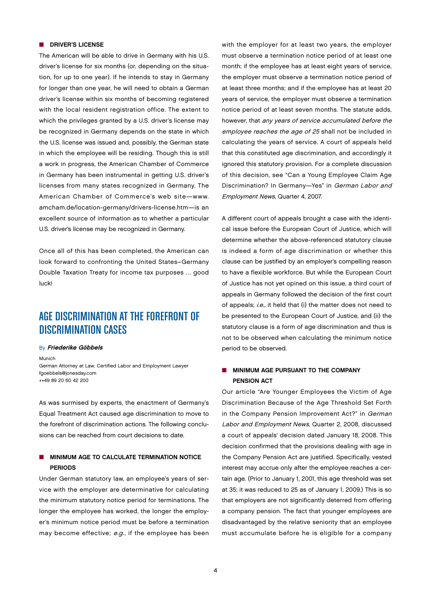### **n** DRIVER'S LICENSE

The American will be able to drive in Germany with his U.S. driver's license for six months (or, depending on the situation, for up to one year). If he intends to stay in Germany for longer than one year, he will need to obtain a German driver's license within six months of becoming registered with the local resident registration office. The extent to which the privileges granted by a U.S. driver's license may be recognized in Germany depends on the state in which the U.S. license was issued and, possibly, the German state in which the employee will be residing. Though this is still a work in progress, the American Chamber of Commerce in Germany has been instrumental in getting U.S. driver's licenses from many states recognized in Germany. The American Chamber of Commerce's web site—www. amcham.de/location-germany/drivers-license.htm—is an excellent source of information as to whether a particular U.S. driver's license may be recognized in Germany.

Once all of this has been completed, the American can look forward to confronting the United States–Germany Double Taxation Treaty for income tax purposes … good luck!

# AGE DISCRIMINATION AT THE FOREFRONT OF DISCRIMINATION CASES

#### By Friederike Göbbels

Munich

German Attorney at Law; Certified Labor and Employment Lawyer fgoebbels@jonesday.com ++49 89 20 60 42 200

As was surmised by experts, the enactment of Germany's Equal Treatment Act caused age discrimination to move to the forefront of discrimination actions. The following conclusions can be reached from court decisions to date.

## MINIMUM AGE TO CALCULATE TERMINATION NOTICE **PERIODS**

Under German statutory law, an employee's years of service with the employer are determinative for calculating the minimum statutory notice period for terminations. The longer the employee has worked, the longer the employer's minimum notice period must be before a termination may become effective; e.g., if the employee has been

with the employer for at least two years, the employer must observe a termination notice period of at least one month; if the employee has at least eight years of service, the employer must observe a termination notice period of at least three months; and if the employee has at least 20 years of service, the employer must observe a termination notice period of at least seven months. The statute adds, however, that any years of service accumulated before the employee reaches the age of 25 shall not be included in calculating the years of service. A court of appeals held that this constituted age discrimination, and accordingly it ignored this statutory provision. For a complete discussion of this decision, see "Can a Young Employee Claim Age Discrimination? In Germany—Yes" in German Labor and Employment News, Quarter 4, 2007.

A different court of appeals brought a case with the identical issue before the European Court of Justice, which will determine whether the above-referenced statutory clause is indeed a form of age discrimination or whether this clause can be justified by an employer's compelling reason to have a flexible workforce. But while the European Court of Justice has not yet opined on this issue, a third court of appeals in Germany followed the decision of the first court of appeals; i.e., it held that (i) the matter does not need to be presented to the European Court of Justice, and (ii) the statutory clause is a form of age discrimination and thus is not to be observed when calculating the minimum notice period to be observed.

## $\blacksquare$  MINIMUM AGE PURSUANT TO THE COMPANY Pension Act

Our article "Are Younger Employees the Victim of Age Discrimination Because of the Age Threshold Set Forth in the Company Pension Improvement Act?" in German Labor and Employment News, Quarter 2, 2008, discussed a court of appeals' decision dated January 18, 2008. This decision confirmed that the provisions dealing with age in the Company Pension Act are justified. Specifically, vested interest may accrue only after the employee reaches a certain age. (Prior to January 1, 2001, this age threshold was set at 35; it was reduced to 25 as of January 1, 2009.) This is so that employers are not significantly deterred from offering a company pension. The fact that younger employees are disadvantaged by the relative seniority that an employee must accumulate before he is eligible for a company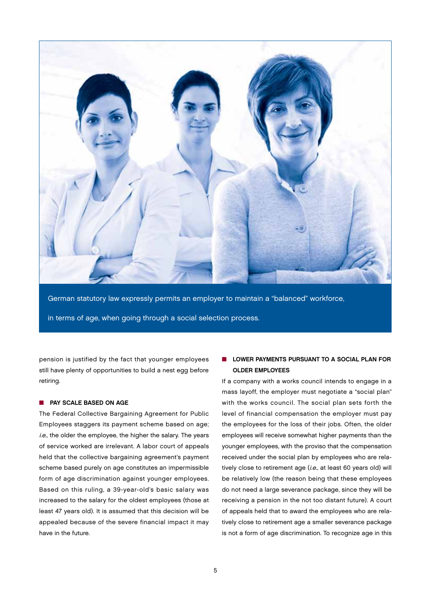

German statutory law expressly permits an employer to maintain a "balanced" workforce, in terms of age, when going through a social selection process.

pension is justified by the fact that younger employees still have plenty of opportunities to build a nest egg before retiring.

### **NO PAY SCALE BASED ON AGE**

The Federal Collective Bargaining Agreement for Public Employees staggers its payment scheme based on age; i.e., the older the employee, the higher the salary. The years of service worked are irrelevant. A labor court of appeals held that the collective bargaining agreement's payment scheme based purely on age constitutes an impermissible form of age discrimination against younger employees. Based on this ruling, a 39-year-old's basic salary was increased to the salary for the oldest employees (those at least 47 years old). It is assumed that this decision will be appealed because of the severe financial impact it may have in the future.

## **N** LOWER PAYMENTS PURSUANT TO A SOCIAL PLAN FOR Older Employees

If a company with a works council intends to engage in a mass layoff, the employer must negotiate a "social plan" with the works council. The social plan sets forth the level of financial compensation the employer must pay the employees for the loss of their jobs. Often, the older employees will receive somewhat higher payments than the younger employees, with the proviso that the compensation received under the social plan by employees who are relatively close to retirement age (i.e., at least 60 years old) will be relatively low (the reason being that these employees do not need a large severance package, since they will be receiving a pension in the not too distant future). A court of appeals held that to award the employees who are relatively close to retirement age a smaller severance package is not a form of age discrimination. To recognize age in this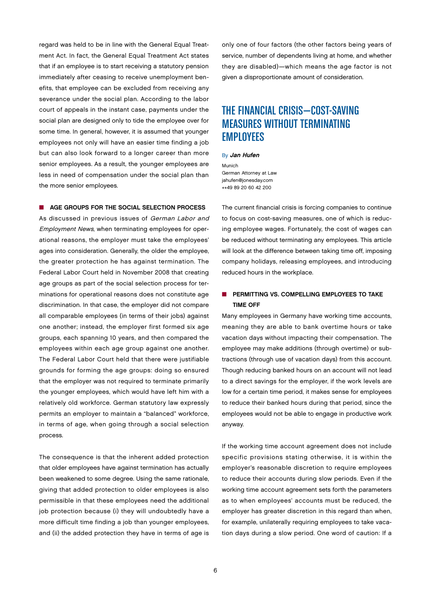regard was held to be in line with the General Equal Treatment Act. In fact, the General Equal Treatment Act states that if an employee is to start receiving a statutory pension immediately after ceasing to receive unemployment benefits, that employee can be excluded from receiving any severance under the social plan. According to the labor court of appeals in the instant case, payments under the social plan are designed only to tide the employee over for some time. In general, however, it is assumed that younger employees not only will have an easier time finding a job but can also look forward to a longer career than more senior employees. As a result, the younger employees are less in need of compensation under the social plan than the more senior employees.

#### ■ AGE GROUPS FOR THE SOCIAL SELECTION PROCESS

As discussed in previous issues of German Labor and Employment News, when terminating employees for operational reasons, the employer must take the employees' ages into consideration. Generally, the older the employee, the greater protection he has against termination. The Federal Labor Court held in November 2008 that creating age groups as part of the social selection process for terminations for operational reasons does not constitute age discrimination. In that case, the employer did not compare all comparable employees (in terms of their jobs) against one another; instead, the employer first formed six age groups, each spanning 10 years, and then compared the employees within each age group against one another. The Federal Labor Court held that there were justifiable grounds for forming the age groups: doing so ensured that the employer was not required to terminate primarily the younger employees, which would have left him with a relatively old workforce. German statutory law expressly permits an employer to maintain a "balanced" workforce, in terms of age, when going through a social selection process.

The consequence is that the inherent added protection that older employees have against termination has actually been weakened to some degree. Using the same rationale, giving that added protection to older employees is also permissible in that these employees need the additional job protection because (i) they will undoubtedly have a more difficult time finding a job than younger employees, and (ii) the added protection they have in terms of age is only one of four factors (the other factors being years of service, number of dependents living at home, and whether they are disabled)—which means the age factor is not given a disproportionate amount of consideration.

# THE FINANCIAL CRISIS—COST-SAVING MEASURES WITHOUT TERMINATING EMPLOYEES

### By Jan Hufen

Munich German Attorney at Law jahufen@jonesday.com ++49 89 20 60 42 200

The current financial crisis is forcing companies to continue to focus on cost-saving measures, one of which is reducing employee wages. Fortunately, the cost of wages can be reduced without terminating any employees. This article will look at the difference between taking time off, imposing company holidays, releasing employees, and introducing reduced hours in the workplace.

## **n** PERMITTING VS. COMPELLING EMPLOYEES TO TAKE Time Off

Many employees in Germany have working time accounts, meaning they are able to bank overtime hours or take vacation days without impacting their compensation. The employee may make additions (through overtime) or subtractions (through use of vacation days) from this account. Though reducing banked hours on an account will not lead to a direct savings for the employer, if the work levels are low for a certain time period, it makes sense for employees to reduce their banked hours during that period, since the employees would not be able to engage in productive work anyway.

If the working time account agreement does not include specific provisions stating otherwise, it is within the employer's reasonable discretion to require employees to reduce their accounts during slow periods. Even if the working time account agreement sets forth the parameters as to when employees' accounts must be reduced, the employer has greater discretion in this regard than when, for example, unilaterally requiring employees to take vacation days during a slow period. One word of caution: If a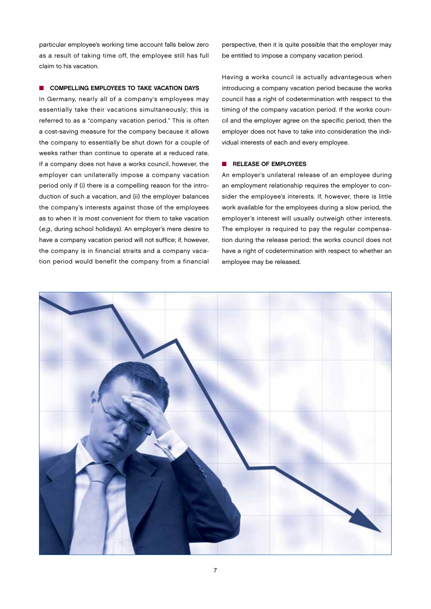particular employee's working time account falls below zero as a result of taking time off, the employee still has full claim to his vacation.

### $\blacksquare$  COMPELLING EMPLOYEES TO TAKE VACATION DAYS

In Germany, nearly all of a company's employees may essentially take their vacations simultaneously; this is referred to as a "company vacation period." This is often a cost-saving measure for the company because it allows the company to essentially be shut down for a couple of weeks rather than continue to operate at a reduced rate. If a company does not have a works council, however, the employer can unilaterally impose a company vacation period only if (i) there is a compelling reason for the introduction of such a vacation, and (ii) the employer balances the company's interests against those of the employees as to when it is most convenient for them to take vacation (e.g., during school holidays). An employer's mere desire to have a company vacation period will not suffice; if, however, the company is in financial straits and a company vacation period would benefit the company from a financial

perspective, then it is quite possible that the employer may be entitled to impose a company vacation period.

Having a works council is actually advantageous when introducing a company vacation period because the works council has a right of codetermination with respect to the timing of the company vacation period. If the works council and the employer agree on the specific period, then the employer does not have to take into consideration the individual interests of each and every employee.

## $R$  RELEASE OF EMPLOYEES

An employer's unilateral release of an employee during an employment relationship requires the employer to consider the employee's interests. If, however, there is little work available for the employees during a slow period, the employer's interest will usually outweigh other interests. The employer is required to pay the regular compensation during the release period; the works council does not have a right of codetermination with respect to whether an employee may be released.

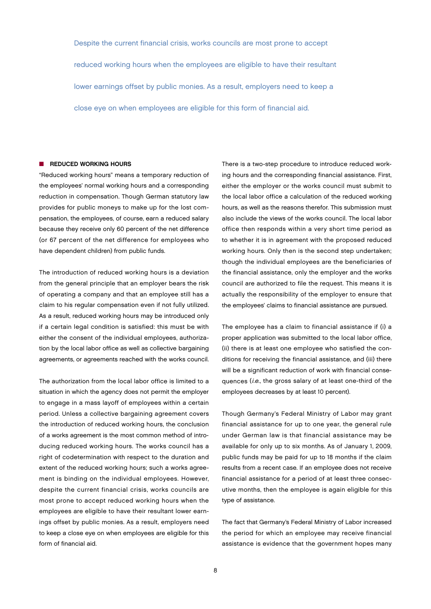Despite the current financial crisis, works councils are most prone to accept reduced working hours when the employees are eligible to have their resultant lower earnings offset by public monies. As a result, employers need to keep a close eye on when employees are eligible for this form of financial aid.

#### $\blacksquare$  REDUCED WORKING HOURS

"Reduced working hours" means a temporary reduction of the employees' normal working hours and a corresponding reduction in compensation. Though German statutory law provides for public moneys to make up for the lost compensation, the employees, of course, earn a reduced salary because they receive only 60 percent of the net difference (or 67 percent of the net difference for employees who have dependent children) from public funds.

The introduction of reduced working hours is a deviation from the general principle that an employer bears the risk of operating a company and that an employee still has a claim to his regular compensation even if not fully utilized. As a result, reduced working hours may be introduced only if a certain legal condition is satisfied: this must be with either the consent of the individual employees, authorization by the local labor office as well as collective bargaining agreements, or agreements reached with the works council.

The authorization from the local labor office is limited to a situation in which the agency does not permit the employer to engage in a mass layoff of employees within a certain period. Unless a collective bargaining agreement covers the introduction of reduced working hours, the conclusion of a works agreement is the most common method of introducing reduced working hours. The works council has a right of codetermination with respect to the duration and extent of the reduced working hours; such a works agreement is binding on the individual employees. However, despite the current financial crisis, works councils are most prone to accept reduced working hours when the employees are eligible to have their resultant lower earnings offset by public monies. As a result, employers need to keep a close eye on when employees are eligible for this form of financial aid.

There is a two-step procedure to introduce reduced working hours and the corresponding financial assistance. First, either the employer or the works council must submit to the local labor office a calculation of the reduced working hours, as well as the reasons therefor. This submission must also include the views of the works council. The local labor office then responds within a very short time period as to whether it is in agreement with the proposed reduced working hours. Only then is the second step undertaken; though the individual employees are the beneficiaries of the financial assistance, only the employer and the works council are authorized to file the request. This means it is actually the responsibility of the employer to ensure that the employees' claims to financial assistance are pursued.

The employee has a claim to financial assistance if (i) a proper application was submitted to the local labor office, (ii) there is at least one employee who satisfied the conditions for receiving the financial assistance, and (iii) there will be a significant reduction of work with financial consequences (i.e., the gross salary of at least one-third of the employees decreases by at least 10 percent).

Though Germany's Federal Ministry of Labor may grant financial assistance for up to one year, the general rule under German law is that financial assistance may be available for only up to six months. As of January 1, 2009, public funds may be paid for up to 18 months if the claim results from a recent case. If an employee does not receive financial assistance for a period of at least three consecutive months, then the employee is again eligible for this type of assistance.

The fact that Germany's Federal Ministry of Labor increased the period for which an employee may receive financial assistance is evidence that the government hopes many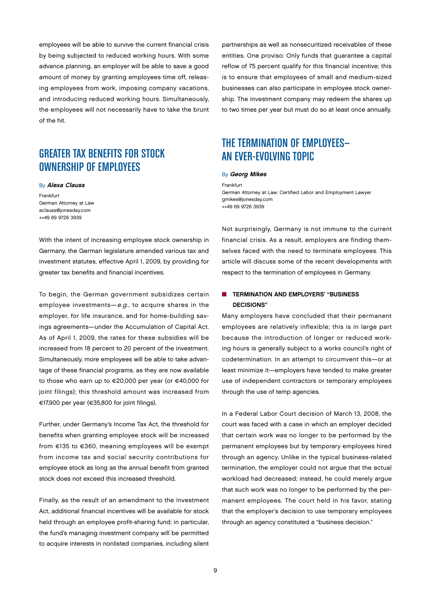employees will be able to survive the current financial crisis by being subjected to reduced working hours. With some advance planning, an employer will be able to save a good amount of money by granting employees time off, releasing employees from work, imposing company vacations, and introducing reduced working hours. Simultaneously, the employees will not necessarily have to take the brunt of the hit.

# GREATER TAX BENEFITS FOR STOCK OWNERSHIP OF EMPLOYEES

#### **By Alexa Clauss**

Frankfurt German Attorney at Law aclauss@jonesday.com ++49 69 9726 3939

With the intent of increasing employee stock ownership in Germany, the German legislature amended various tax and investment statutes, effective April 1, 2009, by providing for greater tax benefits and financial incentives.

To begin, the German government subsidizes certain employee investments—e.g., to acquire shares in the employer, for life insurance, and for home-building savings agreements—under the Accumulation of Capital Act. As of April 1, 2009, the rates for these subsidies will be increased from 18 percent to 20 percent of the investment. Simultaneously, more employees will be able to take advantage of these financial programs, as they are now available to those who earn up to €20,000 per year (or €40,000 for joint filings); this threshold amount was increased from €17,900 per year (€35,800 for joint filings).

Further, under Germany's Income Tax Act, the threshold for benefits when granting employee stock will be increased from €135 to €360, meaning employees will be exempt from income tax and social security contributions for employee stock as long as the annual benefit from granted stock does not exceed this increased threshold.

Finally, as the result of an amendment to the Investment Act, additional financial incentives will be available for stock held through an employee profit-sharing fund; in particular, the fund's managing investment company will be permitted to acquire interests in nonlisted companies, including silent

partnerships as well as nonsecuritized receivables of these entities. One proviso: Only funds that guarantee a capital reflow of 75 percent qualify for this financial incentive; this is to ensure that employees of small and medium-sized businesses can also participate in employee stock ownership. The investment company may redeem the shares up to two times per year but must do so at least once annually.

# THE TERMINATION OF EMPLOYEES— AN EVER-EVOLVING TOPIC

#### **By Georg Mikes**

Frankfurt German Attorney at Law; Certified Labor and Employment Lawyer gmikes@jonesday.com ++49 69 9726 3939

Not surprisingly, Germany is not immune to the current financial crisis. As a result, employers are finding themselves faced with the need to terminate employees. This article will discuss some of the recent developments with respect to the termination of employees in Germany.

## **n** TERMINATION AND EMPLOYERS' "BUSINESS Decisions"

Many employers have concluded that their permanent employees are relatively inflexible; this is in large part because the introduction of longer or reduced working hours is generally subject to a works council's right of codetermination. In an attempt to circumvent this—or at least minimize it—employers have tended to make greater use of independent contractors or temporary employees through the use of temp agencies.

In a Federal Labor Court decision of March 13, 2008, the court was faced with a case in which an employer decided that certain work was no longer to be performed by the permanent employees but by temporary employees hired through an agency. Unlike in the typical business-related termination, the employer could not argue that the actual workload had decreased; instead, he could merely argue that such work was no longer to be performed by the permanent employees. The court held in his favor, stating that the employer's decision to use temporary employees through an agency constituted a "business decision."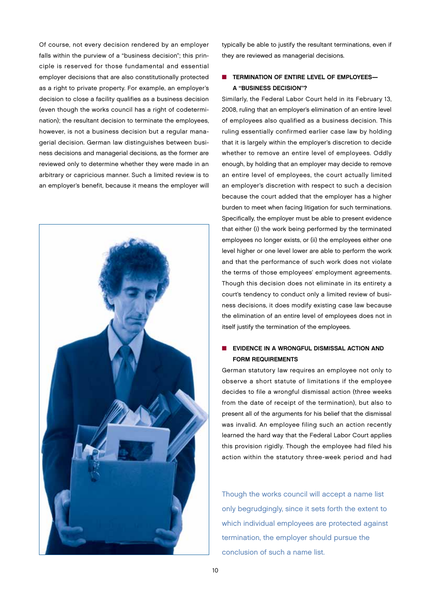Of course, not every decision rendered by an employer falls within the purview of a "business decision"; this principle is reserved for those fundamental and essential employer decisions that are also constitutionally protected as a right to private property. For example, an employer's decision to close a facility qualifies as a business decision (even though the works council has a right of codetermination); the resultant decision to terminate the employees, however, is not a business decision but a regular managerial decision. German law distinguishes between business decisions and managerial decisions, as the former are reviewed only to determine whether they were made in an arbitrary or capricious manner. Such a limited review is to an employer's benefit, because it means the employer will



typically be able to justify the resultant terminations, even if they are reviewed as managerial decisions.

## ■ TERMINATION OF ENTIRE LEVEL OF EMPLOYEES-A "Business Decision"?

Similarly, the Federal Labor Court held in its February 13, 2008, ruling that an employer's elimination of an entire level of employees also qualified as a business decision. This ruling essentially confirmed earlier case law by holding that it is largely within the employer's discretion to decide whether to remove an entire level of employees. Oddly enough, by holding that an employer may decide to remove an entire level of employees, the court actually limited an employer's discretion with respect to such a decision because the court added that the employer has a higher burden to meet when facing litigation for such terminations. Specifically, the employer must be able to present evidence that either (i) the work being performed by the terminated employees no longer exists, or (ii) the employees either one level higher or one level lower are able to perform the work and that the performance of such work does not violate the terms of those employees' employment agreements. Though this decision does not eliminate in its entirety a court's tendency to conduct only a limited review of business decisions, it does modify existing case law because the elimination of an entire level of employees does not in itself justify the termination of the employees.

## **N** EVIDENCE IN A WRONGFUL DISMISSAL ACTION AND Form Requirements

German statutory law requires an employee not only to observe a short statute of limitations if the employee decides to file a wrongful dismissal action (three weeks from the date of receipt of the termination), but also to present all of the arguments for his belief that the dismissal was invalid. An employee filing such an action recently learned the hard way that the Federal Labor Court applies this provision rigidly. Though the employee had filed his action within the statutory three-week period and had

Though the works council will accept a name list only begrudgingly, since it sets forth the extent to which individual employees are protected against termination, the employer should pursue the conclusion of such a name list.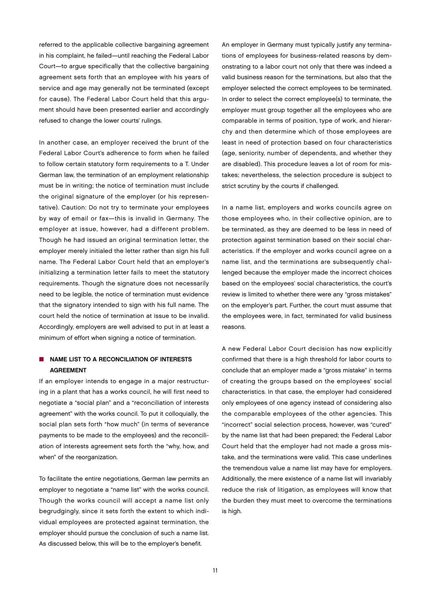referred to the applicable collective bargaining agreement in his complaint, he failed—until reaching the Federal Labor Court—to argue specifically that the collective bargaining agreement sets forth that an employee with his years of service and age may generally not be terminated (except for cause). The Federal Labor Court held that this argument should have been presented earlier and accordingly refused to change the lower courts' rulings.

In another case, an employer received the brunt of the Federal Labor Court's adherence to form when he failed to follow certain statutory form requirements to a T. Under German law, the termination of an employment relationship must be in writing; the notice of termination must include the original signature of the employer (or his representative). Caution: Do not try to terminate your employees by way of email or fax—this is invalid in Germany. The employer at issue, however, had a different problem. Though he had issued an original termination letter, the employer merely initialed the letter rather than sign his full name. The Federal Labor Court held that an employer's initializing a termination letter fails to meet the statutory requirements. Though the signature does not necessarily need to be legible, the notice of termination must evidence that the signatory intended to sign with his full name. The court held the notice of termination at issue to be invalid. Accordingly, employers are well advised to put in at least a minimum of effort when signing a notice of termination.

## $\blacksquare$  NAME LIST TO A RECONCILIATION OF INTERESTS **AGREEMENT**

If an employer intends to engage in a major restructuring in a plant that has a works council, he will first need to negotiate a "social plan" and a "reconciliation of interests agreement" with the works council. To put it colloquially, the social plan sets forth "how much" (in terms of severance payments to be made to the employees) and the reconciliation of interests agreement sets forth the "why, how, and when" of the reorganization.

To facilitate the entire negotiations, German law permits an employer to negotiate a "name list" with the works council. Though the works council will accept a name list only begrudgingly, since it sets forth the extent to which individual employees are protected against termination, the employer should pursue the conclusion of such a name list. As discussed below, this will be to the employer's benefit.

An employer in Germany must typically justify any terminations of employees for business-related reasons by demonstrating to a labor court not only that there was indeed a valid business reason for the terminations, but also that the employer selected the correct employees to be terminated. In order to select the correct employee(s) to terminate, the employer must group together all the employees who are comparable in terms of position, type of work, and hierarchy and then determine which of those employees are least in need of protection based on four characteristics (age, seniority, number of dependents, and whether they are disabled). This procedure leaves a lot of room for mistakes; nevertheless, the selection procedure is subject to strict scrutiny by the courts if challenged.

In a name list, employers and works councils agree on those employees who, in their collective opinion, are to be terminated, as they are deemed to be less in need of protection against termination based on their social characteristics. If the employer and works council agree on a name list, and the terminations are subsequently challenged because the employer made the incorrect choices based on the employees' social characteristics, the court's review is limited to whether there were any "gross mistakes" on the employer's part. Further, the court must assume that the employees were, in fact, terminated for valid business reasons.

A new Federal Labor Court decision has now explicitly confirmed that there is a high threshold for labor courts to conclude that an employer made a "gross mistake" in terms of creating the groups based on the employees' social characteristics. In that case, the employer had considered only employees of one agency instead of considering also the comparable employees of the other agencies. This "incorrect" social selection process, however, was "cured" by the name list that had been prepared; the Federal Labor Court held that the employer had not made a gross mistake, and the terminations were valid. This case underlines the tremendous value a name list may have for employers. Additionally, the mere existence of a name list will invariably reduce the risk of litigation, as employees will know that the burden they must meet to overcome the terminations is high.